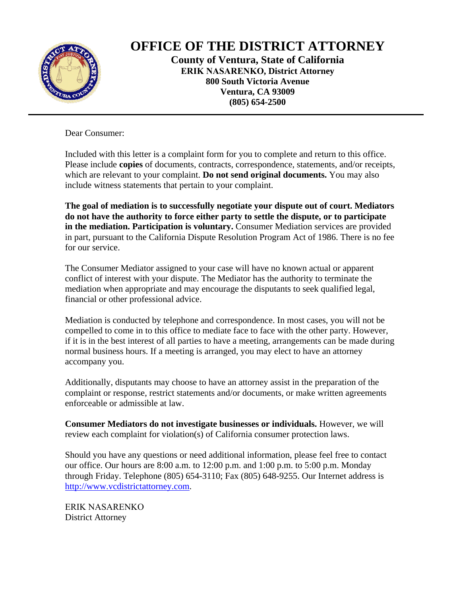

# **OFFICE OF THE DISTRICT ATTORNEY**

**County of Ventura, State of California ERIK NASARENKO, District Attorney 800 South Victoria Avenue Ventura, CA 93009 (805) 654-2500**

Dear Consumer:

Included with this letter is a complaint form for you to complete and return to this office. Please include **copies** of documents, contracts, correspondence, statements, and/or receipts, which are relevant to your complaint. **Do not send original documents.** You may also include witness statements that pertain to your complaint.

**The goal of mediation is to successfully negotiate your dispute out of court. Mediators do not have the authority to force either party to settle the dispute, or to participate in the mediation. Participation is voluntary.** Consumer Mediation services are provided in part, pursuant to the California Dispute Resolution Program Act of 1986. There is no fee for our service.

The Consumer Mediator assigned to your case will have no known actual or apparent conflict of interest with your dispute. The Mediator has the authority to terminate the mediation when appropriate and may encourage the disputants to seek qualified legal, financial or other professional advice.

Mediation is conducted by telephone and correspondence. In most cases, you will not be compelled to come in to this office to mediate face to face with the other party. However, if it is in the best interest of all parties to have a meeting, arrangements can be made during normal business hours. If a meeting is arranged, you may elect to have an attorney accompany you.

Additionally, disputants may choose to have an attorney assist in the preparation of the complaint or response, restrict statements and/or documents, or make written agreements enforceable or admissible at law.

**Consumer Mediators do not investigate businesses or individuals.** However, we will review each complaint for violation(s) of California consumer protection laws.

Should you have any questions or need additional information, please feel free to contact our office. Our hours are 8:00 a.m. to 12:00 p.m. and 1:00 p.m. to 5:00 p.m. Monday through Friday. Telephone (805) 654-3110; Fax (805) 648-9255. Our Internet address is http://www.vcdistrictattorney.com.

ERIK NASARENKO District Attorney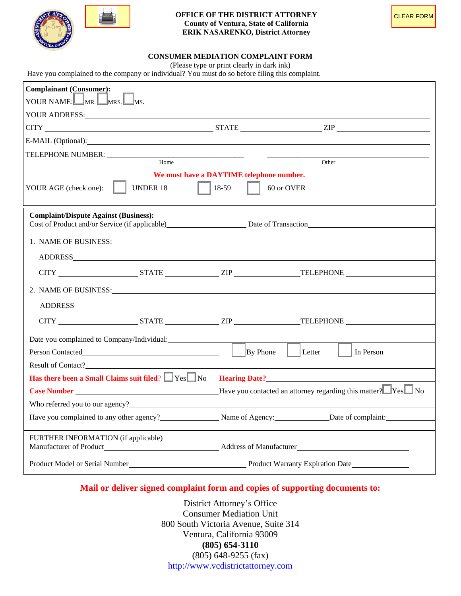

### **CONSUMER MEDIATION COMPLAINT FORM**

(Please type or print clearly in dark ink)

Have you complained to the company or individual? You must do so before filing this complaint.

| <b>Complainant (Consumer):</b>                                                                                                                                                                                                 |                                                                             |  |
|--------------------------------------------------------------------------------------------------------------------------------------------------------------------------------------------------------------------------------|-----------------------------------------------------------------------------|--|
| YOUR NAME: MR. MRS. MS.                                                                                                                                                                                                        |                                                                             |  |
| YOUR ADDRESS: The contract of the contract of the contract of the contract of the contract of the contract of the contract of the contract of the contract of the contract of the contract of the contract of the contract of  |                                                                             |  |
| $CITY$ $ZIP$ $ZIP$                                                                                                                                                                                                             |                                                                             |  |
| E-MAIL (Optional): Note and the set of the set of the set of the set of the set of the set of the set of the set of the set of the set of the set of the set of the set of the set of the set of the set of the set of the set |                                                                             |  |
| TELEPHONE NUMBER: __________                                                                                                                                                                                                   |                                                                             |  |
| Home                                                                                                                                                                                                                           | Other                                                                       |  |
| <b>UNDER 18</b><br>YOUR AGE (check one):                                                                                                                                                                                       | We must have a DAYTIME telephone number.<br>18-59<br>60 or OVER             |  |
| <b>Complaint/Dispute Against (Business):</b>                                                                                                                                                                                   | Cost of Product and/or Service (if applicable) Date of Transaction          |  |
| 1. NAME OF BUSINESS: LEADER AND THE RESIDENCE OF BUSINESS:                                                                                                                                                                     |                                                                             |  |
|                                                                                                                                                                                                                                |                                                                             |  |
|                                                                                                                                                                                                                                | CITY STATE TELEPHONE                                                        |  |
|                                                                                                                                                                                                                                |                                                                             |  |
| 2. NAME OF BUSINESS: Universe of the set of the set of the set of the set of the set of the set of the set of the set of the set of the set of the set of the set of the set of the set of the set of the set of the set of th |                                                                             |  |
|                                                                                                                                                                                                                                |                                                                             |  |
|                                                                                                                                                                                                                                |                                                                             |  |
| Date you complained to Company/Individual:                                                                                                                                                                                     |                                                                             |  |
|                                                                                                                                                                                                                                | Letter<br>By Phone<br>In Person                                             |  |
| Result of Contact?                                                                                                                                                                                                             |                                                                             |  |
| Has there been a Small Claims suit filed? See Section Meaning Date?                                                                                                                                                            |                                                                             |  |
|                                                                                                                                                                                                                                |                                                                             |  |
|                                                                                                                                                                                                                                |                                                                             |  |
|                                                                                                                                                                                                                                | Have you complained to any other agency? Name of Agency: Date of complaint: |  |
| FURTHER INFORMATION (if applicable)                                                                                                                                                                                            |                                                                             |  |
|                                                                                                                                                                                                                                |                                                                             |  |
|                                                                                                                                                                                                                                |                                                                             |  |

# **Mail or deliver signed complaint form and copies of supporting documents to:**

District Attorney's Office Consumer Mediation Unit 800 South Victoria Avenue, Suite 314 Ventura, California 93009 **(805) 654-3110** (805) 648-9255 (fax) http://www.vcdistrictattorney.com